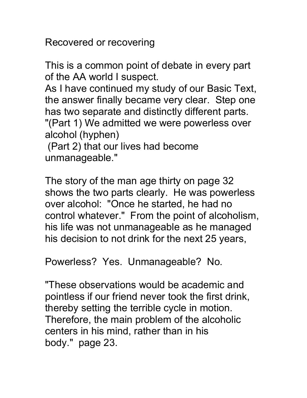Recovered or recovering

This is a common point of debate in every part of the AA world I suspect.

As I have continued my study of our Basic Text, the answer finally became very clear. Step one has two separate and distinctly different parts. "(Part 1) We admitted we were powerless over alcohol (hyphen)

 (Part 2) that our lives had become unmanageable."

The story of the man age thirty on page 32 shows the two parts clearly. He was powerless over alcohol: "Once he started, he had no control whatever." From the point of alcoholism, his life was not unmanageable as he managed his decision to not drink for the next 25 years,

Powerless? Yes. Unmanageable? No.

"These observations would be academic and pointless if our friend never took the first drink, thereby setting the terrible cycle in motion. Therefore, the main problem of the alcoholic centers in his mind, rather than in his body." page 23.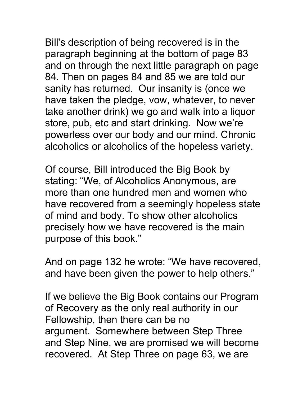Bill's description of being recovered is in the paragraph beginning at the bottom of page 83 and on through the next little paragraph on page 84. Then on pages 84 and 85 we are told our sanity has returned. Our insanity is (once we have taken the pledge, vow, whatever, to never take another drink) we go and walk into a liquor store, pub, etc and start drinking. Now we're powerless over our body and our mind. Chronic alcoholics or alcoholics of the hopeless variety.

Of course, Bill introduced the Big Book by stating: "We, of Alcoholics Anonymous, are more than one hundred men and women who have recovered from a seemingly hopeless state of mind and body. To show other alcoholics precisely how we have recovered is the main purpose of this book."

And on page 132 he wrote: "We have recovered, and have been given the power to help others."

If we believe the Big Book contains our Program of Recovery as the only real authority in our Fellowship, then there can be no argument. Somewhere between Step Three and Step Nine, we are promised we will become recovered. At Step Three on page 63, we are